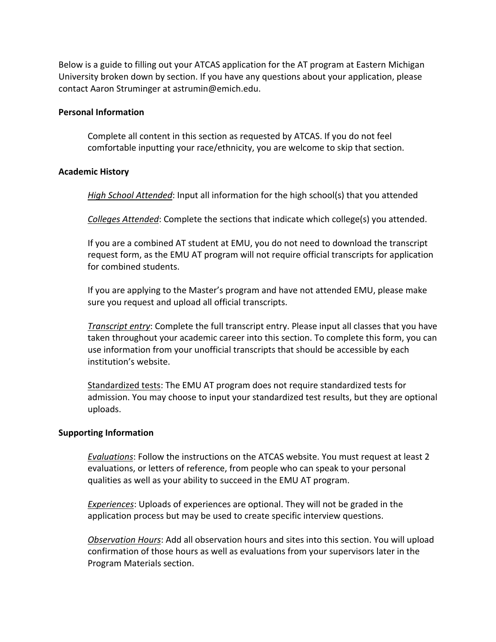Below is a guide to filling out your ATCAS application for the AT program at Eastern Michigan University broken down by section. If you have any questions about your application, please contact Aaron Struminger at astrumin@emich.edu.

## **Personal Information**

Complete all content in this section as requested by ATCAS. If you do not feel comfortable inputting your race/ethnicity, you are welcome to skip that section.

# **Academic History**

*High School Attended*: Input all information for the high school(s) that you attended

*Colleges Attended*: Complete the sections that indicate which college(s) you attended.

If you are a combined AT student at EMU, you do not need to download the transcript request form, as the EMU AT program will not require official transcripts for application for combined students.

If you are applying to the Master's program and have not attended EMU, please make sure you request and upload all official transcripts.

*Transcript entry*: Complete the full transcript entry. Please input all classes that you have taken throughout your academic career into this section. To complete this form, you can use information from your unofficial transcripts that should be accessible by each institution's website.

Standardized tests: The EMU AT program does not require standardized tests for admission. You may choose to input your standardized test results, but they are optional uploads.

# **Supporting Information**

*Evaluations*: Follow the instructions on the ATCAS website. You must request at least 2 evaluations, or letters of reference, from people who can speak to your personal qualities as well as your ability to succeed in the EMU AT program.

*Experiences*: Uploads of experiences are optional. They will not be graded in the application process but may be used to create specific interview questions.

*Observation Hours*: Add all observation hours and sites into this section. You will upload confirmation of those hours as well as evaluations from your supervisors later in the Program Materials section.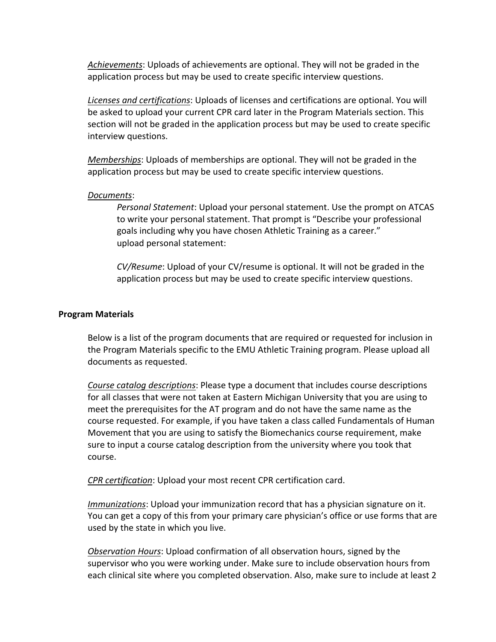*Achievements*: Uploads of achievements are optional. They will not be graded in the application process but may be used to create specific interview questions.

*Licenses and certifications*: Uploads of licenses and certifications are optional. You will be asked to upload your current CPR card later in the Program Materials section. This section will not be graded in the application process but may be used to create specific interview questions.

*Memberships*: Uploads of memberships are optional. They will not be graded in the application process but may be used to create specific interview questions.

### *Documents*:

*Personal Statement*: Upload your personal statement. Use the prompt on ATCAS to write your personal statement. That prompt is "Describe your professional goals including why you have chosen Athletic Training as a career." upload personal statement:

*CV/Resume*: Upload of your CV/resume is optional. It will not be graded in the application process but may be used to create specific interview questions.

### **Program Materials**

Below is a list of the program documents that are required or requested for inclusion in the Program Materials specific to the EMU Athletic Training program. Please upload all documents as requested.

*Course catalog descriptions*: Please type a document that includes course descriptions for all classes that were not taken at Eastern Michigan University that you are using to meet the prerequisites for the AT program and do not have the same name as the course requested. For example, if you have taken a class called Fundamentals of Human Movement that you are using to satisfy the Biomechanics course requirement, make sure to input a course catalog description from the university where you took that course.

*CPR certification*: Upload your most recent CPR certification card.

*Immunizations*: Upload your immunization record that has a physician signature on it. You can get a copy of this from your primary care physician's office or use forms that are used by the state in which you live.

*Observation Hours*: Upload confirmation of all observation hours, signed by the supervisor who you were working under. Make sure to include observation hours from each clinical site where you completed observation. Also, make sure to include at least 2